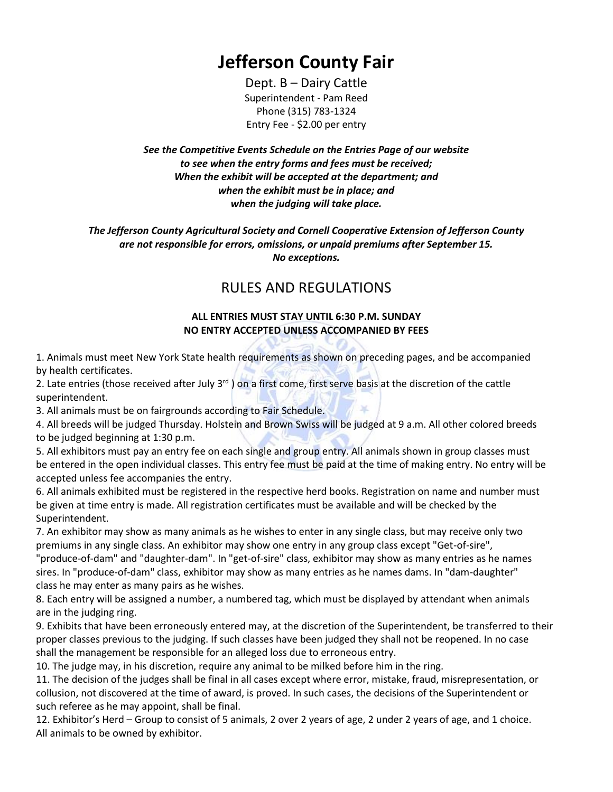# **Jefferson County Fair**

Dept. B – Dairy Cattle Superintendent - Pam Reed Phone (315) 783-1324 Entry Fee - \$2.00 per entry

*See the Competitive Events Schedule on the Entries Page of our website to see when the entry forms and fees must be received; When the exhibit will be accepted at the department; and when the exhibit must be in place; and when the judging will take place.*

*The Jefferson County Agricultural Society and Cornell Cooperative Extension of Jefferson County are not responsible for errors, omissions, or unpaid premiums after September 15. No exceptions.*

## RULES AND REGULATIONS

#### **ALL ENTRIES MUST STAY UNTIL 6:30 P.M. SUNDAY NO ENTRY ACCEPTED UNLESS ACCOMPANIED BY FEES**

1. Animals must meet New York State health requirements as shown on preceding pages, and be accompanied by health certificates.

2. Late entries (those received after July 3<sup>rd</sup>) on a first come, first serve basis at the discretion of the cattle superintendent.

3. All animals must be on fairgrounds according to Fair Schedule.

4. All breeds will be judged Thursday. Holstein and Brown Swiss will be judged at 9 a.m. All other colored breeds to be judged beginning at 1:30 p.m.

5. All exhibitors must pay an entry fee on each single and group entry. All animals shown in group classes must be entered in the open individual classes. This entry fee must be paid at the time of making entry. No entry will be accepted unless fee accompanies the entry.

6. All animals exhibited must be registered in the respective herd books. Registration on name and number must be given at time entry is made. All registration certificates must be available and will be checked by the Superintendent.

7. An exhibitor may show as many animals as he wishes to enter in any single class, but may receive only two premiums in any single class. An exhibitor may show one entry in any group class except "Get-of-sire", "produce-of-dam" and "daughter-dam". In "get-of-sire" class, exhibitor may show as many entries as he names sires. In "produce-of-dam" class, exhibitor may show as many entries as he names dams. In "dam-daughter" class he may enter as many pairs as he wishes.

8. Each entry will be assigned a number, a numbered tag, which must be displayed by attendant when animals are in the judging ring.

9. Exhibits that have been erroneously entered may, at the discretion of the Superintendent, be transferred to their proper classes previous to the judging. If such classes have been judged they shall not be reopened. In no case shall the management be responsible for an alleged loss due to erroneous entry.

10. The judge may, in his discretion, require any animal to be milked before him in the ring.

11. The decision of the judges shall be final in all cases except where error, mistake, fraud, misrepresentation, or collusion, not discovered at the time of award, is proved. In such cases, the decisions of the Superintendent or such referee as he may appoint, shall be final.

12. Exhibitor's Herd – Group to consist of 5 animals, 2 over 2 years of age, 2 under 2 years of age, and 1 choice. All animals to be owned by exhibitor.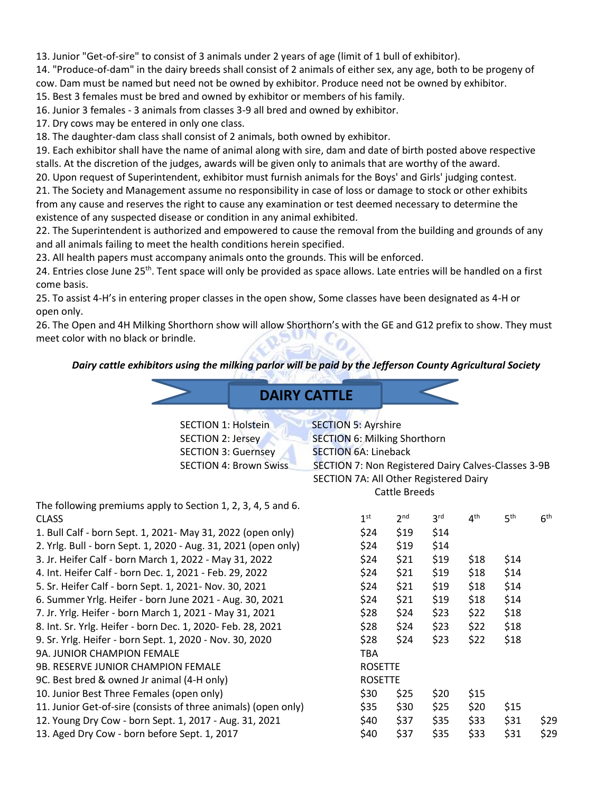13. Junior "Get-of-sire" to consist of 3 animals under 2 years of age (limit of 1 bull of exhibitor).

14. "Produce-of-dam" in the dairy breeds shall consist of 2 animals of either sex, any age, both to be progeny of cow. Dam must be named but need not be owned by exhibitor. Produce need not be owned by exhibitor.

15. Best 3 females must be bred and owned by exhibitor or members of his family. 16. Junior 3 females - 3 animals from classes 3-9 all bred and owned by exhibitor.

17. Dry cows may be entered in only one class.

18. The daughter-dam class shall consist of 2 animals, both owned by exhibitor.

19. Each exhibitor shall have the name of animal along with sire, dam and date of birth posted above respective stalls. At the discretion of the judges, awards will be given only to animals that are worthy of the award.

20. Upon request of Superintendent, exhibitor must furnish animals for the Boys' and Girls' judging contest.

21. The Society and Management assume no responsibility in case of loss or damage to stock or other exhibits from any cause and reserves the right to cause any examination or test deemed necessary to determine the existence of any suspected disease or condition in any animal exhibited.

22. The Superintendent is authorized and empowered to cause the removal from the building and grounds of any and all animals failing to meet the health conditions herein specified.

23. All health papers must accompany animals onto the grounds. This will be enforced.

24. Entries close June  $25<sup>th</sup>$ . Tent space will only be provided as space allows. Late entries will be handled on a first come basis.

25. To assist 4-H's in entering proper classes in the open show, Some classes have been designated as 4-H or open only.

26. The Open and 4H Milking Shorthorn show will allow Shorthorn's with the GE and G12 prefix to show. They must meet color with no black or brindle.

#### *Dairy cattle exhibitors using the milking parlor will be paid by the Jefferson County Agricultural Society*

|                                                                                                                       | <b>DAIRY CATTLE</b>                                                                                                                                                                               |                 |                      |                 |                 |                 |                 |  |  |
|-----------------------------------------------------------------------------------------------------------------------|---------------------------------------------------------------------------------------------------------------------------------------------------------------------------------------------------|-----------------|----------------------|-----------------|-----------------|-----------------|-----------------|--|--|
| <b>SECTION 1: Holstein</b><br><b>SECTION 2: Jersey</b><br><b>SECTION 3: Guernsey</b><br><b>SECTION 4: Brown Swiss</b> | <b>SECTION 5: Ayrshire</b><br><b>SECTION 6: Milking Shorthorn</b><br><b>SECTION 6A: Lineback</b><br>SECTION 7: Non Registered Dairy Calves-Classes 3-9B<br>SECTION 7A: All Other Registered Dairy |                 | <b>Cattle Breeds</b> |                 |                 |                 |                 |  |  |
| The following premiums apply to Section 1, 2, 3, 4, 5 and 6.                                                          |                                                                                                                                                                                                   |                 |                      |                 |                 |                 |                 |  |  |
| <b>CLASS</b>                                                                                                          |                                                                                                                                                                                                   | 1 <sup>st</sup> | 2 <sub>nd</sub>      | 3 <sup>rd</sup> | 4 <sup>th</sup> | 5 <sup>th</sup> | 6 <sup>th</sup> |  |  |
| 1. Bull Calf - born Sept. 1, 2021- May 31, 2022 (open only)                                                           |                                                                                                                                                                                                   | \$24            | \$19                 | \$14            |                 |                 |                 |  |  |
| 2. Yrlg. Bull - born Sept. 1, 2020 - Aug. 31, 2021 (open only)                                                        |                                                                                                                                                                                                   | \$24            | \$19                 | \$14            |                 |                 |                 |  |  |
| 3. Jr. Heifer Calf - born March 1, 2022 - May 31, 2022                                                                |                                                                                                                                                                                                   | \$24            | \$21                 | \$19            | \$18            | \$14            |                 |  |  |
| 4. Int. Heifer Calf - born Dec. 1, 2021 - Feb. 29, 2022                                                               |                                                                                                                                                                                                   | \$24            | \$21                 | \$19            | \$18            | \$14            |                 |  |  |
| 5. Sr. Heifer Calf - born Sept. 1, 2021- Nov. 30, 2021                                                                |                                                                                                                                                                                                   | \$24            | \$21                 | \$19            | \$18            | \$14            |                 |  |  |
| 6. Summer Yrlg. Heifer - born June 2021 - Aug. 30, 2021                                                               |                                                                                                                                                                                                   | \$24            | \$21                 | \$19            | \$18            | \$14            |                 |  |  |
| 7. Jr. Yrlg. Heifer - born March 1, 2021 - May 31, 2021                                                               |                                                                                                                                                                                                   | \$28            | \$24                 | \$23            | \$22            | \$18            |                 |  |  |
| 8. Int. Sr. Yrlg. Heifer - born Dec. 1, 2020- Feb. 28, 2021                                                           |                                                                                                                                                                                                   | \$28            | \$24                 | \$23            | \$22            | \$18            |                 |  |  |
| 9. Sr. Yrlg. Heifer - born Sept. 1, 2020 - Nov. 30, 2020                                                              |                                                                                                                                                                                                   | \$28            | \$24                 | \$23            | \$22            | \$18            |                 |  |  |
| 9A. JUNIOR CHAMPION FEMALE                                                                                            |                                                                                                                                                                                                   | <b>TBA</b>      |                      |                 |                 |                 |                 |  |  |
| 9B. RESERVE JUNIOR CHAMPION FEMALE                                                                                    |                                                                                                                                                                                                   | <b>ROSETTE</b>  |                      |                 |                 |                 |                 |  |  |
| 9C. Best bred & owned Jr animal (4-H only)                                                                            |                                                                                                                                                                                                   | <b>ROSETTE</b>  |                      |                 |                 |                 |                 |  |  |
| 10. Junior Best Three Females (open only)                                                                             |                                                                                                                                                                                                   | \$30            | \$25                 | \$20            | \$15            |                 |                 |  |  |
| 11. Junior Get-of-sire (consists of three animals) (open only)                                                        |                                                                                                                                                                                                   | \$35            | \$30                 | \$25            | \$20            | \$15            |                 |  |  |
| 12. Young Dry Cow - born Sept. 1, 2017 - Aug. 31, 2021                                                                |                                                                                                                                                                                                   | \$40            | \$37                 | \$35            | \$33            | \$31            | \$29            |  |  |
| 13. Aged Dry Cow - born before Sept. 1, 2017                                                                          |                                                                                                                                                                                                   | \$40            | \$37                 | \$35            | \$33            | \$31            | \$29            |  |  |